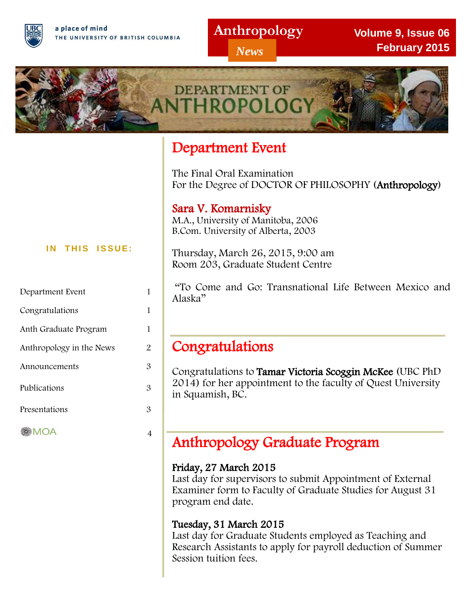a place of mind THE UNIVERSITY OF BRITISH COLUMBIA

### **Anthropology**

*News*

**Volume 9, Issue 06 February 2015**



## Department Event

I

 $\overline{a}$ 

The Final Oral Examination For the Degree of DOCTOR OF PHILOSOPHY (Anthropology)

### Sara V. Komarnisky

M.A., University of Manitoba, 2006 B.Com. University of Alberta, 2003

Thursday, March 26, 2015, 9:00 am Room 203, Graduate Student Centre

 "To Come and Go: Transnational Life Between Mexico and Alaska"

## Congratulations

Congratulations to Tamar Victoria Scoggin McKee (UBC PhD 2014) for her appointment to the faculty of Quest University in Squamish, BC.

## Anthropology Graduate Program

### Friday, 27 March 2015

Last day for supervisors to submit Appointment of External Examiner form to Faculty of Graduate Studies for August 31 program end date.

### Tuesday, 31 March 2015

Last day for Graduate Students employed as Teaching and Research Assistants to apply for payroll deduction of Summer Session tuition fees.

#### **IN THIS ISSUE:**

| Department Event         |   |
|--------------------------|---|
| Congratulations          | 1 |
| Anth Graduate Program    | 1 |
| Anthropology in the News | 2 |
| Announcements            | З |
| Publications             | З |
| Presentations            | З |
| MOA                      |   |
|                          |   |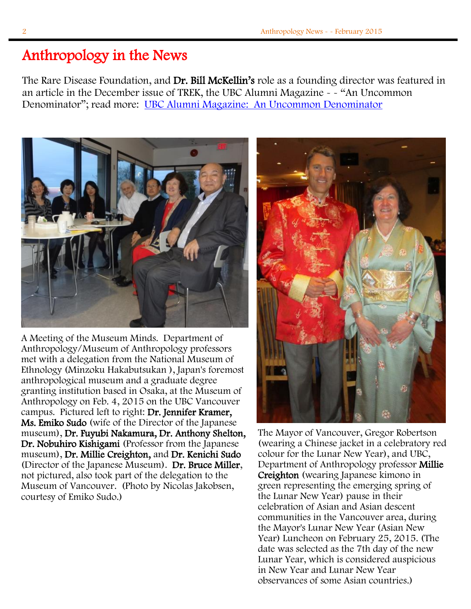## Anthropology in the News

The Rare Disease Foundation, and Dr. Bill McKellin's role as a founding director was featured in an article in the December issue of TREK, the UBC Alumni Magazine - - "An Uncommon Denominator"; read more: [UBC Alumni Magazine: An Uncommon Denominator](http://trekmagazine.alumni.ubc.ca/2014/december-2014/features/an-uncommon-denominator/)



A Meeting of the Museum Minds. Department of Anthropology/Museum of Anthropology professors met with a delegation from the National Museum of Ethnology (Minzoku Hakabutsukan ), Japan's foremost anthropological museum and a graduate degree granting institution based in Osaka, at the Museum of Anthropology on Feb. 4, 2015 on the UBC Vancouver campus. Pictured left to right: Dr. Jennifer Kramer, Ms. Emiko Sudo (wife of the Director of the Japanese museum), Dr. Fuyubi Nakamura, Dr. Anthony Shelton, Dr. Nobuhiro Kishigami (Professor from the Japanese museum), Dr. Millie Creighton, and Dr. Kenichi Sudo (Director of the Japanese Museum). Dr. Bruce Miller, not pictured, also took part of the delegation to the Museum of Vancouver. (Photo by Nicolas Jakobsen, courtesy of Emiko Sudo.)



The Mayor of Vancouver, Gregor Robertson (wearing a Chinese jacket in a celebratory red colour for the Lunar New Year), and UBC, Department of Anthropology professor Millie Creighton (wearing Japanese kimono in green representing the emerging spring of the Lunar New Year) pause in their celebration of Asian and Asian descent communities in the Vancouver area, during the Mayor's Lunar New Year (Asian New Year) Luncheon on February 25, 2015. (The date was selected as the 7th day of the new Lunar Year, which is considered auspicious in New Year and Lunar New Year observances of some Asian countries.)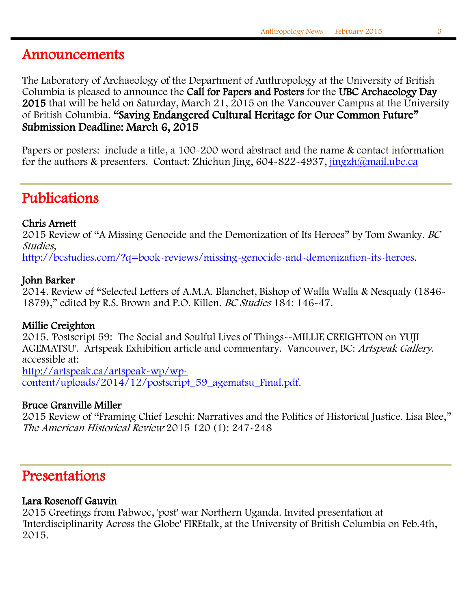## Announcements

The Laboratory of Archaeology of the Department of Anthropology at the University of British Columbia is pleased to announce the Call for Papers and Posters for the UBC Archaeology Day 2015 that will be held on Saturday, March 21, 2015 on the Vancouver Campus at the University of British Columbia. "Saving Endangered Cultural Heritage for Our Common Future" Submission Deadline: March 6, 2015

Papers or posters: include a title, a 100-200 word abstract and the name & contact information for the authors & presenters. Contact: Zhichun Jing, 604-822-4937, [jingzh@mail.ubc.ca](mailto:jingzh@mail.ubc.ca)

## Publications

### Chris Arnett

2015 Review of "A Missing Genocide and the Demonization of Its Heroes" by Tom Swanky. BC Studies,

[http://bcstudies.com/?q=book-reviews/missing-genocide-and-demonization-its-heroes.](http://bcstudies.com/?q=book-reviews/missing-genocide-and-demonization-its-heroes)

#### John Barker

2014. Review of "Selected Letters of A.M.A. Blanchet, Bishop of Walla Walla & Nesqualy (1846- 1879)," edited by R.S. Brown and P.O. Killen. BC Studies 184: 146-47.

### Millie Creighton

2015. 'Postscript 59: The Social and Soulful Lives of Things--MILLIE CREIGHTON on YUJI AGEMATSU'. Artspeak Exhibition article and commentary. Vancouver, BC: Artspeak Gallery. accessible at: [http://artspeak.ca/artspeak-wp/wp-](http://artspeak.ca/artspeak-wp/wp-content/uploads/2014/12/postscript_59_agematsu_Final.pdf)

[content/uploads/2014/12/postscript\\_59\\_agematsu\\_Final.pdf.](http://artspeak.ca/artspeak-wp/wp-content/uploads/2014/12/postscript_59_agematsu_Final.pdf)

### Bruce Granville Miller

2015 Review of "Framing Chief Leschi: Narratives and the Politics of Historical Justice. Lisa Blee," The American Historical Review 2015 120 (1): 247-248

### Presentations

### Lara Rosenoff Gauvin

2015 Greetings from Pabwoc, 'post' war Northern Uganda. Invited presentation at 'Interdisciplinarity Across the Globe' FIREtalk, at the University of British Columbia on Feb.4th, 2015.